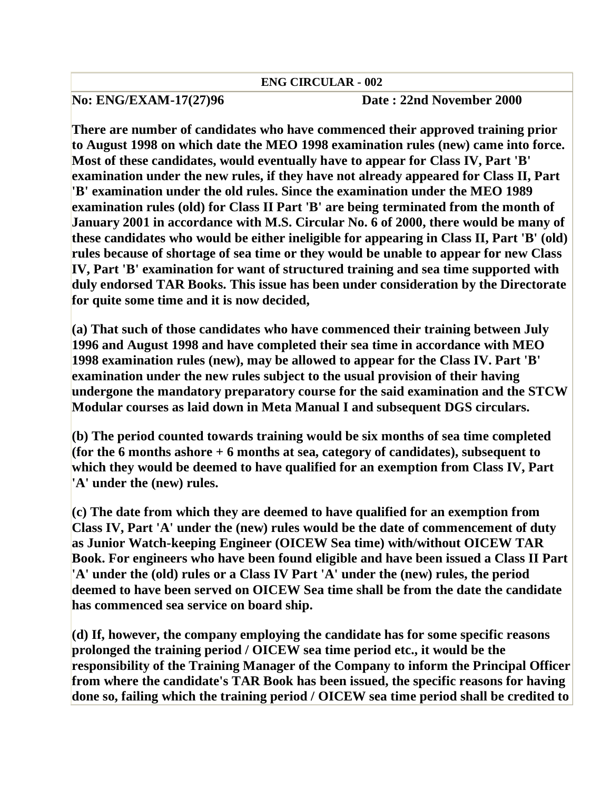## **ENG CIRCULAR - 002**

## **No: ENG/EXAM-17(27)96 Date : 22nd November 2000**

**There are number of candidates who have commenced their approved training prior to August 1998 on which date the MEO 1998 examination rules (new) came into force. Most of these candidates, would eventually have to appear for Class IV, Part 'B' examination under the new rules, if they have not already appeared for Class II, Part 'B' examination under the old rules. Since the examination under the MEO 1989 examination rules (old) for Class II Part 'B' are being terminated from the month of January 2001 in accordance with M.S. Circular No. 6 of 2000, there would be many of these candidates who would be either ineligible for appearing in Class II, Part 'B' (old) rules because of shortage of sea time or they would be unable to appear for new Class IV, Part 'B' examination for want of structured training and sea time supported with duly endorsed TAR Books. This issue has been under consideration by the Directorate for quite some time and it is now decided,** 

**(a) That such of those candidates who have commenced their training between July 1996 and August 1998 and have completed their sea time in accordance with MEO 1998 examination rules (new), may be allowed to appear for the Class IV. Part 'B' examination under the new rules subject to the usual provision of their having undergone the mandatory preparatory course for the said examination and the STCW Modular courses as laid down in Meta Manual I and subsequent DGS circulars.** 

**(b) The period counted towards training would be six months of sea time completed (for the 6 months ashore + 6 months at sea, category of candidates), subsequent to which they would be deemed to have qualified for an exemption from Class IV, Part 'A' under the (new) rules.** 

**(c) The date from which they are deemed to have qualified for an exemption from Class IV, Part 'A' under the (new) rules would be the date of commencement of duty as Junior Watch-keeping Engineer (OICEW Sea time) with/without OICEW TAR Book. For engineers who have been found eligible and have been issued a Class II Part 'A' under the (old) rules or a Class IV Part 'A' under the (new) rules, the period deemed to have been served on OICEW Sea time shall be from the date the candidate has commenced sea service on board ship.** 

**(d) If, however, the company employing the candidate has for some specific reasons prolonged the training period / OICEW sea time period etc., it would be the responsibility of the Training Manager of the Company to inform the Principal Officer from where the candidate's TAR Book has been issued, the specific reasons for having done so, failing which the training period / OICEW sea time period shall be credited to**